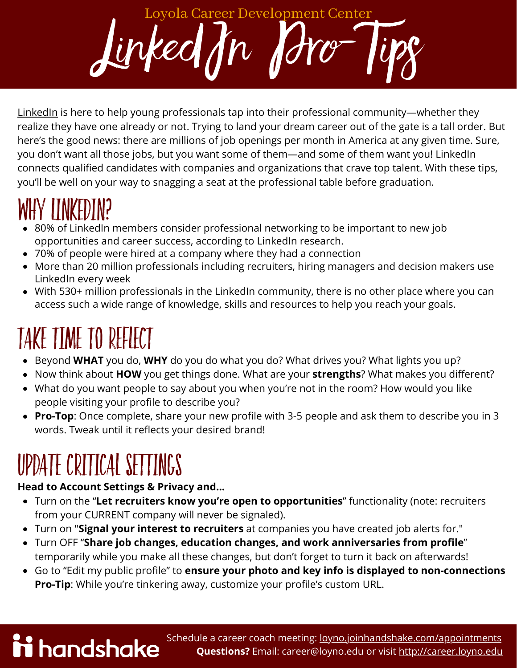$Lirked/n$ Loyola Career Development Center

[LinkedIn](https://www.linkedin.com/feed/) [is here to help young professionals tap into their professional community—whether they](https://www.ncaa.org/about/resources/research/ncaa-demographics-database) realize they have one already or not. Trying to land your dream career out of the gate is a tall order. But here's the good news: there are millions of job openings per month in America at any given time. Sure, you don't want all those jobs, but you want some of them—and some of them want you! LinkedIn connects qualified candidates with companies and organizations that crave top talent. With these tips, you'll be well on your way to snagging a seat at the professional table before graduation.

### Why LinkedIn?

- 80% of LinkedIn members consider professional networking to be important to new job opportunities and career success, according to LinkedIn research.
- 70% of people were hired at a company where they had a connection
- More than 20 million professionals including recruiters, hiring managers and decision makers use LinkedIn every week
- With 530+ million professionals in the LinkedIn community, there is no other place where you can access such a wide range of knowledge, skills and resources to help you reach your goals.

## TAKE TIME TO REFLECT

- Beyond **WHAT** you do, **WHY** do you do what you do? What drives you? What lights you up?
- Now think about **HOW** you get things done. What are [your](https://www.youtube.com/watch?v=IgtXtyGVFQE&feature=youtu.be) **[strengths](https://www.youtube.com/watch?v=IgtXtyGVFQE&feature=youtu.be)**? What makes you different?
- What do you want people to say about you when you're not in the room? How would you like people visiting your profile to describe you?
- **Pro-Top**: Once complete, share your new profile with 3-5 people and ask them to describe you in 3 words. Tweak until it reflects your desired brand!

#### UPDATE CRITICAL SETTINGS

ii handshake

#### **Head to Account Settings & Privacy and...**

- Turn on the "**Let recruiters know you're open to opportunities**" functionality (note: recruiters from your CURRENT company will never be signaled).
- Turn on "**Signal your interest to recruiters** at companies you have created job alerts for."
- Turn OFF "**Share job changes, education changes, and work anniversaries from profile**" temporarily while you make all these changes, but don't forget to turn it back on afterwards!
- Go to "Edit my public profile" to **ensure your photo and key info is displayed to non-connections [Pro-Tip](https://www.linkedin.com/help/linkedin/answer/87/customizing-your-public-profile-url?lang=en&src=aff-lilpar&veh=aff_src.aff-lilpar_c.partners_pkw.123201_plc.adgoal%2BGmbH_pcrid.449670_learning&trk=aff_src.aff-lilpar_c.partners_pkw.123201_plc.adgoal%2BGmbH_pcrid.449670_learning&clickid=2WNyHR3msxyORP4wUx0Mo3kUUki09lxxq3xiTA0&irgwc=1):** While you're tinkering away, customize your profile's custom URL.

#### Schedule a career coach meeting: [loyno.joinhandshake.com/appointments](http://loyno.joinhandshake.com/appointments) **Questions?** Email: career@loyno.edu or visit [http://career.loyno.edu](http://career.loyno.edu/)